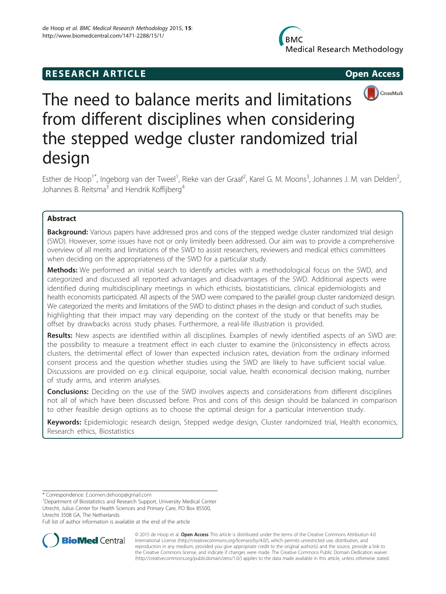## **RESEARCH ARTICLE CONSUMING A RESEARCH ARTICLE**



# The need to balance merits and limitations from different disciplines when considering the stepped wedge cluster randomized trial design

Esther de Hoop<sup>1\*</sup>, Ingeborg van der Tweel<sup>1</sup>, Rieke van der Graaf<sup>2</sup>, Karel G. M. Moons<sup>3</sup>, Johannes J. M. van Delden<sup>2</sup> , Johannes B. Reitsma<sup>3</sup> and Hendrik Koffijberg<sup>4</sup>

## Abstract

Background: Various papers have addressed pros and cons of the stepped wedge cluster randomized trial design (SWD). However, some issues have not or only limitedly been addressed. Our aim was to provide a comprehensive overview of all merits and limitations of the SWD to assist researchers, reviewers and medical ethics committees when deciding on the appropriateness of the SWD for a particular study.

Methods: We performed an initial search to identify articles with a methodological focus on the SWD, and categorized and discussed all reported advantages and disadvantages of the SWD. Additional aspects were identified during multidisciplinary meetings in which ethicists, biostatisticians, clinical epidemiologists and health economists participated. All aspects of the SWD were compared to the parallel group cluster randomized design. We categorized the merits and limitations of the SWD to distinct phases in the design and conduct of such studies, highlighting that their impact may vary depending on the context of the study or that benefits may be offset by drawbacks across study phases. Furthermore, a real-life illustration is provided.

Results: New aspects are identified within all disciplines. Examples of newly identified aspects of an SWD are: the possibility to measure a treatment effect in each cluster to examine the (in)consistency in effects across clusters, the detrimental effect of lower than expected inclusion rates, deviation from the ordinary informed consent process and the question whether studies using the SWD are likely to have sufficient social value. Discussions are provided on e.g. clinical equipoise, social value, health economical decision making, number of study arms, and interim analyses.

**Conclusions:** Deciding on the use of the SWD involves aspects and considerations from different disciplines not all of which have been discussed before. Pros and cons of this design should be balanced in comparison to other feasible design options as to choose the optimal design for a particular intervention study.

Keywords: Epidemiologic research design, Stepped wedge design, Cluster randomized trial, Health economics, Research ethics, Biostatistics

\* Correspondence: [E.oomen.dehoop@gmail.com](mailto:E.oomen.dehoop@gmail.com) <sup>1</sup>

Full list of author information is available at the end of the article



© 2015 de Hoop et al. Open Access This article is distributed under the terms of the Creative Commons Attribution 4.0 International License [\(http://creativecommons.org/licenses/by/4.0/](http://creativecommons.org/licenses/by/4.0/)), which permits unrestricted use, distribution, and reproduction in any medium, provided you give appropriate credit to the original author(s) and the source, provide a link to the Creative Commons license, and indicate if changes were made. The Creative Commons Public Domain Dedication waiver [\(http://creativecommons.org/publicdomain/zero/1.0/](http://creativecommons.org/publicdomain/zero/1.0/)) applies to the data made available in this article, unless otherwise stated.

<sup>&</sup>lt;sup>1</sup>Department of Biostatistics and Research Support, University Medical Center Utrecht, Julius Center for Health Sciences and Primary Care, PO Box 85500, Utrecht 3508 GA, The Netherlands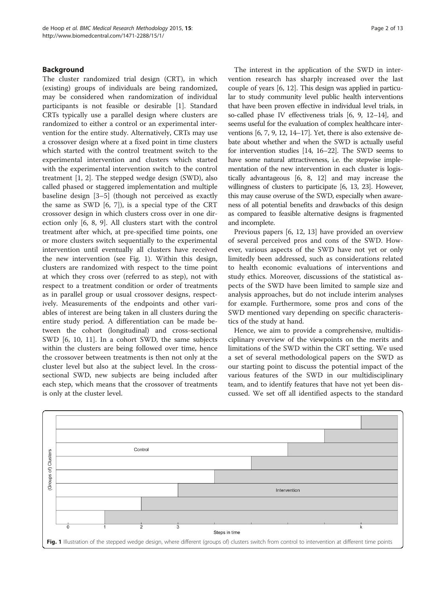#### Background

The cluster randomized trial design (CRT), in which (existing) groups of individuals are being randomized, may be considered when randomization of individual participants is not feasible or desirable [[1\]](#page-11-0). Standard CRTs typically use a parallel design where clusters are randomized to either a control or an experimental intervention for the entire study. Alternatively, CRTs may use a crossover design where at a fixed point in time clusters which started with the control treatment switch to the experimental intervention and clusters which started with the experimental intervention switch to the control treatment [\[1](#page-11-0), [2\]](#page-11-0). The stepped wedge design (SWD), also called phased or staggered implementation and multiple baseline design [[3](#page-11-0)–[5\]](#page-11-0) (though not perceived as exactly the same as SWD [[6, 7](#page-11-0)]), is a special type of the CRT crossover design in which clusters cross over in one direction only [[6, 8](#page-11-0), [9](#page-11-0)]. All clusters start with the control treatment after which, at pre-specified time points, one or more clusters switch sequentially to the experimental intervention until eventually all clusters have received the new intervention (see Fig. 1). Within this design, clusters are randomized with respect to the time point at which they cross over (referred to as step), not with respect to a treatment condition or order of treatments as in parallel group or usual crossover designs, respectively. Measurements of the endpoints and other variables of interest are being taken in all clusters during the entire study period. A differentiation can be made between the cohort (longitudinal) and cross-sectional SWD [\[6](#page-11-0), [10, 11](#page-11-0)]. In a cohort SWD, the same subjects within the clusters are being followed over time, hence the crossover between treatments is then not only at the cluster level but also at the subject level. In the crosssectional SWD, new subjects are being included after each step, which means that the crossover of treatments is only at the cluster level.

The interest in the application of the SWD in intervention research has sharply increased over the last couple of years [[6, 12\]](#page-11-0). This design was applied in particular to study community level public health interventions that have been proven effective in individual level trials, in so-called phase IV effectiveness trials [\[6, 9, 12](#page-11-0)–[14](#page-11-0)], and seems useful for the evaluation of complex healthcare interventions [[6](#page-11-0), [7, 9](#page-11-0), [12, 14](#page-11-0)–[17](#page-11-0)]. Yet, there is also extensive debate about whether and when the SWD is actually useful for intervention studies [[14](#page-11-0), [16](#page-11-0)–[22](#page-11-0)]. The SWD seems to have some natural attractiveness, i.e. the stepwise implementation of the new intervention in each cluster is logistically advantageous [[6](#page-11-0), [8, 12](#page-11-0)] and may increase the willingness of clusters to participate [\[6, 13](#page-11-0), [23\]](#page-11-0). However, this may cause overuse of the SWD, especially when awareness of all potential benefits and drawbacks of this design as compared to feasible alternative designs is fragmented and incomplete.

Previous papers [[6, 12](#page-11-0), [13\]](#page-11-0) have provided an overview of several perceived pros and cons of the SWD. However, various aspects of the SWD have not yet or only limitedly been addressed, such as considerations related to health economic evaluations of interventions and study ethics. Moreover, discussions of the statistical aspects of the SWD have been limited to sample size and analysis approaches, but do not include interim analyses for example. Furthermore, some pros and cons of the SWD mentioned vary depending on specific characteristics of the study at hand.

Hence, we aim to provide a comprehensive, multidisciplinary overview of the viewpoints on the merits and limitations of the SWD within the CRT setting. We used a set of several methodological papers on the SWD as our starting point to discuss the potential impact of the various features of the SWD in our multidisciplinary team, and to identify features that have not yet been discussed. We set off all identified aspects to the standard

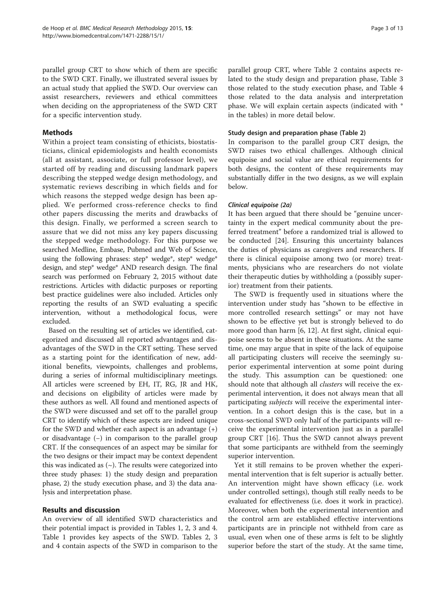parallel group CRT to show which of them are specific to the SWD CRT. Finally, we illustrated several issues by an actual study that applied the SWD. Our overview can assist researchers, reviewers and ethical committees when deciding on the appropriateness of the SWD CRT for a specific intervention study.

## Methods

Within a project team consisting of ethicists, biostatisticians, clinical epidemiologists and health economists (all at assistant, associate, or full professor level), we started off by reading and discussing landmark papers describing the stepped wedge design methodology, and systematic reviews describing in which fields and for which reasons the stepped wedge design has been applied. We performed cross-reference checks to find other papers discussing the merits and drawbacks of this design. Finally, we performed a screen search to assure that we did not miss any key papers discussing the stepped wedge methodology. For this purpose we searched Medline, Embase, Pubmed and Web of Science, using the following phrases: step\* wedge\*, step\* wedge\* design, and step\* wedge\* AND research design. The final search was performed on February 2, 2015 without date restrictions. Articles with didactic purposes or reporting best practice guidelines were also included. Articles only reporting the results of an SWD evaluating a specific intervention, without a methodological focus, were excluded.

Based on the resulting set of articles we identified, categorized and discussed all reported advantages and disadvantages of the SWD in the CRT setting. These served as a starting point for the identification of new, additional benefits, viewpoints, challenges and problems, during a series of informal multidisciplinary meetings. All articles were screened by EH, IT, RG, JR and HK, and decisions on eligibility of articles were made by these authors as well. All found and mentioned aspects of the SWD were discussed and set off to the parallel group CRT to identify which of these aspects are indeed unique for the SWD and whether each aspect is an advantage (+) or disadvantage (−) in comparison to the parallel group CRT. If the consequences of an aspect may be similar for the two designs or their impact may be context dependent this was indicated as  $(\sim)$ . The results were categorized into three study phases: 1) the study design and preparation phase, 2) the study execution phase, and 3) the data analysis and interpretation phase.

## Results and discussion

An overview of all identified SWD characteristics and their potential impact is provided in Tables [1](#page-3-0), [2](#page-4-0), [3](#page-5-0) and [4](#page-5-0). Table [1](#page-3-0) provides key aspects of the SWD. Tables [2,](#page-4-0) [3](#page-5-0) and [4](#page-5-0) contain aspects of the SWD in comparison to the

parallel group CRT, where Table [2](#page-4-0) contains aspects related to the study design and preparation phase, Table [3](#page-5-0) those related to the study execution phase, and Table [4](#page-5-0) those related to the data analysis and interpretation phase. We will explain certain aspects (indicated with \* in the tables) in more detail below.

#### Study design and preparation phase (Table [2\)](#page-4-0)

In comparison to the parallel group CRT design, the SWD raises two ethical challenges. Although clinical equipoise and social value are ethical requirements for both designs, the content of these requirements may substantially differ in the two designs, as we will explain below.

## Clinical equipoise (2a)

It has been argued that there should be "genuine uncertainty in the expert medical community about the preferred treatment" before a randomized trial is allowed to be conducted [[24](#page-11-0)]. Ensuring this uncertainty balances the duties of physicians as caregivers and researchers. If there is clinical equipoise among two (or more) treatments, physicians who are researchers do not violate their therapeutic duties by withholding a (possibly superior) treatment from their patients.

The SWD is frequently used in situations where the intervention under study has "shown to be effective in more controlled research settings" or may not have shown to be effective yet but is strongly believed to do more good than harm [[6, 12\]](#page-11-0). At first sight, clinical equipoise seems to be absent in these situations. At the same time, one may argue that in spite of the lack of equipoise all participating clusters will receive the seemingly superior experimental intervention at some point during the study. This assumption can be questioned: one should note that although all *clusters* will receive the experimental intervention, it does not always mean that all participating subjects will receive the experimental intervention. In a cohort design this is the case, but in a cross-sectional SWD only half of the participants will receive the experimental intervention just as in a parallel group CRT [[16\]](#page-11-0). Thus the SWD cannot always prevent that some participants are withheld from the seemingly superior intervention.

Yet it still remains to be proven whether the experimental intervention that is felt superior is actually better. An intervention might have shown efficacy (i.e. work under controlled settings), though still really needs to be evaluated for effectiveness (i.e. does it work in practice). Moreover, when both the experimental intervention and the control arm are established effective interventions participants are in principle not withheld from care as usual, even when one of these arms is felt to be slightly superior before the start of the study. At the same time,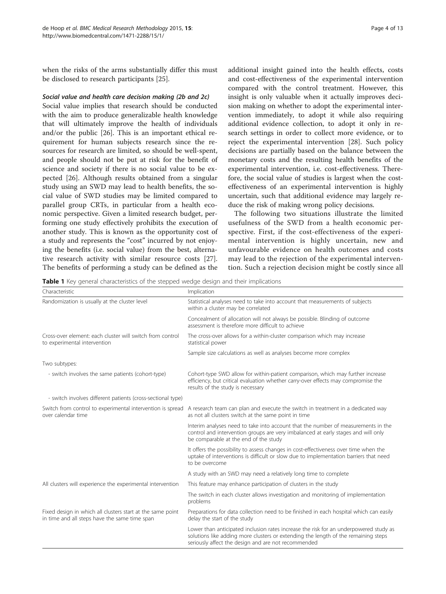<span id="page-3-0"></span>when the risks of the arms substantially differ this must be disclosed to research participants [\[25](#page-11-0)].

## Social value and health care decision making (2b and 2c)

Social value implies that research should be conducted with the aim to produce generalizable health knowledge that will ultimately improve the health of individuals and/or the public [\[26](#page-11-0)]. This is an important ethical requirement for human subjects research since the resources for research are limited, so should be well-spent, and people should not be put at risk for the benefit of science and society if there is no social value to be expected [\[26\]](#page-11-0). Although results obtained from a singular study using an SWD may lead to health benefits, the social value of SWD studies may be limited compared to parallel group CRTs, in particular from a health economic perspective. Given a limited research budget, performing one study effectively prohibits the execution of another study. This is known as the opportunity cost of a study and represents the "cost" incurred by not enjoying the benefits (i.e. social value) from the best, alternative research activity with similar resource costs [\[27](#page-11-0)]. The benefits of performing a study can be defined as the

additional insight gained into the health effects, costs and cost-effectiveness of the experimental intervention compared with the control treatment. However, this insight is only valuable when it actually improves decision making on whether to adopt the experimental intervention immediately, to adopt it while also requiring additional evidence collection, to adopt it only in research settings in order to collect more evidence, or to reject the experimental intervention [\[28](#page-11-0)]. Such policy decisions are partially based on the balance between the monetary costs and the resulting health benefits of the experimental intervention, i.e. cost-effectiveness. Therefore, the social value of studies is largest when the costeffectiveness of an experimental intervention is highly uncertain, such that additional evidence may largely reduce the risk of making wrong policy decisions.

The following two situations illustrate the limited usefulness of the SWD from a health economic perspective. First, if the cost-effectiveness of the experimental intervention is highly uncertain, new and unfavourable evidence on health outcomes and costs may lead to the rejection of the experimental intervention. Such a rejection decision might be costly since all

Table 1 Key general characteristics of the stepped wedge design and their implications

| Characteristic                                                                                              | Implication                                                                                                                                                                                                                        |
|-------------------------------------------------------------------------------------------------------------|------------------------------------------------------------------------------------------------------------------------------------------------------------------------------------------------------------------------------------|
| Randomization is usually at the cluster level                                                               | Statistical analyses need to take into account that measurements of subjects<br>within a cluster may be correlated                                                                                                                 |
|                                                                                                             | Concealment of allocation will not always be possible. Blinding of outcome<br>assessment is therefore more difficult to achieve                                                                                                    |
| Cross-over element: each cluster will switch from control<br>to experimental intervention                   | The cross-over allows for a within-cluster comparison which may increase<br>statistical power                                                                                                                                      |
|                                                                                                             | Sample size calculations as well as analyses become more complex                                                                                                                                                                   |
| Two subtypes:                                                                                               |                                                                                                                                                                                                                                    |
| - switch involves the same patients (cohort-type)                                                           | Cohort-type SWD allow for within-patient comparison, which may further increase<br>efficiency, but critical evaluation whether carry-over effects may compromise the<br>results of the study is necessary                          |
| - switch involves different patients (cross-sectional type)                                                 |                                                                                                                                                                                                                                    |
| Switch from control to experimental intervention is spread<br>over calendar time                            | A research team can plan and execute the switch in treatment in a dedicated way<br>as not all clusters switch at the same point in time                                                                                            |
|                                                                                                             | Interim analyses need to take into account that the number of measurements in the<br>control and intervention groups are very imbalanced at early stages and will only<br>be comparable at the end of the study                    |
|                                                                                                             | It offers the possibility to assess changes in cost-effectiveness over time when the<br>uptake of interventions is difficult or slow due to implementation barriers that need<br>to be overcome                                    |
|                                                                                                             | A study with an SWD may need a relatively long time to complete                                                                                                                                                                    |
| All clusters will experience the experimental intervention                                                  | This feature may enhance participation of clusters in the study                                                                                                                                                                    |
|                                                                                                             | The switch in each cluster allows investigation and monitoring of implementation<br>problems                                                                                                                                       |
| Fixed design in which all clusters start at the same point<br>in time and all steps have the same time span | Preparations for data collection need to be finished in each hospital which can easily<br>delay the start of the study                                                                                                             |
|                                                                                                             | Lower than anticipated inclusion rates increase the risk for an underpowered study as<br>solutions like adding more clusters or extending the length of the remaining steps<br>seriously affect the design and are not recommended |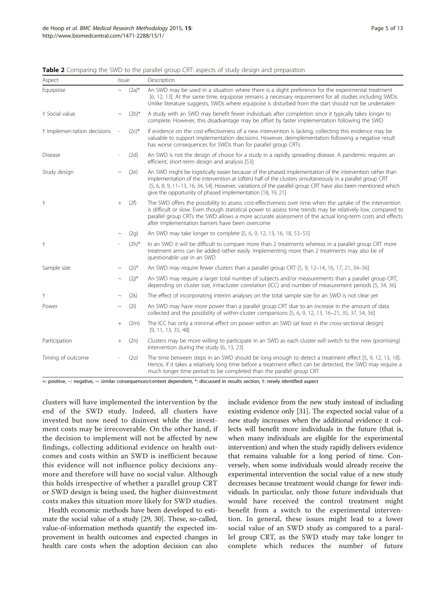| Aspect                      | Issue  |          | Description                                                                                                                                                                                                                                                                                                                                                                                          |  |
|-----------------------------|--------|----------|------------------------------------------------------------------------------------------------------------------------------------------------------------------------------------------------------------------------------------------------------------------------------------------------------------------------------------------------------------------------------------------------------|--|
| Equipoise                   | $\sim$ | $(2a)^*$ | An SWD may be used in a situation where there is a slight preference for the experimental treatment<br>[6, 12, 13]. At the same time, equipoise remains a necessary requirement for all studies including SWDs.<br>Unlike literature suggests, SWDs where equipoise is disturbed from the start should not be undertaken                                                                             |  |
| + Social value              |        | $(2b)^*$ | A study with an SWD may benefit fewer individuals after completion since it typically takes longer to<br>complete. However, this disadvantage may be offset by faster implementation following the SWD                                                                                                                                                                                               |  |
| † Implemen-tation decisions |        | $(2c)^*$ | If evidence on the cost-effectiveness of a new intervention is lacking, collecting this evidence may be<br>valuable to support implementation decisions. However, deimplementation following a negative result<br>has worse consequences for SWDs than for parallel group CRTs                                                                                                                       |  |
| Disease                     |        | (2d)     | An SWD is not the design of choice for a study in a rapidly spreading disease. A pandemic requires an<br>efficient, short-term design and analysis [53]                                                                                                                                                                                                                                              |  |
| Study design                |        | (2e)     | An SWD might be logistically easier because of the phased implementation of the intervention rather than<br>implementation of the intervention at (often) half of the clusters simultaneously in a parallel group CRT<br>[5, 6, 8, 9, 11-13, 16, 34, 54]. However, variations of the parallel group CRT have also been mentioned which<br>give the opportunity of phased implementation [18, 19, 21] |  |
| $\ddagger$                  | $^{+}$ | (2f)     | The SWD offers the possibility to assess cost-effectiveness over time when the uptake of the intervention<br>is difficult or slow. Even though statistical power to assess time trends may be relatively low, compared to<br>parallel group CRTs the SWD allows a more accurate assessment of the actual long-term costs and effects<br>after implementation barriers have been overcome             |  |
|                             |        | (2q)     | An SWD may take longer to complete [5, 6, 9, 12, 13, 16, 18, 53-55]                                                                                                                                                                                                                                                                                                                                  |  |
| $\ddagger$                  |        | $(2h)^*$ | In an SWD it will be difficult to compare more than 2 treatments whereas in a parallel group CRT more<br>treatment arms can be added rather easily. Implementing more than 2 treatments may also be of<br>questionable use in an SWD                                                                                                                                                                 |  |
| Sample size                 |        | $(2i)^*$ | An SWD may require fewer clusters than a parallel group CRT [5, 9, 12-14, 16, 17, 21, 34-36]                                                                                                                                                                                                                                                                                                         |  |
|                             |        | $(2i)^*$ | An SWD may require a larger total number of subjects and/or measurements than a parallel group CRT,<br>depending on cluster size, intracluster correlation (ICC) and number of measurement periods [5, 34, 36]                                                                                                                                                                                       |  |
| $\ddagger$                  |        | (2k)     | The effect of incorporating interim analyses on the total sample size for an SWD is not clear yet                                                                                                                                                                                                                                                                                                    |  |
| Power                       |        | (2)      | An SWD may have more power than a parallel group CRT due to an increase in the amount of data<br>collected and the possibility of within-cluster comparisons [5, 6, 9, 12, 13, 16-21, 35, 37, 54, 56]                                                                                                                                                                                                |  |
|                             | $+$    | (2m)     | The ICC has only a minimal effect on power within an SWD (at least in the cross-sectional design)<br>[9, 11, 13, 35, 48]                                                                                                                                                                                                                                                                             |  |
| Participation               | $^{+}$ | (2n)     | Clusters may be more willing to participate in an SWD as each cluster will switch to the new (promising)<br>intervention during the study [6, 13, 23]                                                                                                                                                                                                                                                |  |
| Timing of outcome           |        | (2o)     | The time between steps in an SWD should be long enough to detect a treatment effect [5, 9, 12, 13, 18].<br>Hence, if it takes a relatively long time before a treatment effect can be detected, the SWD may require a<br>much longer time period to be completed than the parallel group CRT<br><b>Contract Contract Service</b><br>$\cdots$                                                         |  |

<span id="page-4-0"></span>Table 2 Comparing the SWD to the parallel group CRT: aspects of study design and preparation

+: positive, −: negative, ~: similar consequences/context dependent, \*: discussed in results section, †: newly identified aspect

clusters will have implemented the intervention by the end of the SWD study. Indeed, all clusters have invested but now need to disinvest while the investment costs may be irrecoverable. On the other hand, if the decision to implement will not be affected by new findings, collecting additional evidence on health outcomes and costs within an SWD is inefficient because this evidence will not influence policy decisions anymore and therefore will have no social value. Although this holds irrespective of whether a parallel group CRT or SWD design is being used, the higher disinvestment costs makes this situation more likely for SWD studies.

Health economic methods have been developed to estimate the social value of a study [\[29, 30\]](#page-11-0). These, so-called, value-of-information methods quantify the expected improvement in health outcomes and expected changes in health care costs when the adoption decision can also include evidence from the new study instead of including existing evidence only [\[31\]](#page-11-0). The expected social value of a new study increases when the additional evidence it collects will benefit more individuals in the future (that is, when many individuals are eligible for the experimental intervention) and when the study rapidly delivers evidence that remains valuable for a long period of time. Conversely, when some individuals would already receive the experimental intervention the social value of a new study decreases because treatment would change for fewer individuals. In particular, only those future individuals that would have received the control treatment might benefit from a switch to the experimental intervention. In general, these issues might lead to a lower social value of an SWD study as compared to a parallel group CRT, as the SWD study may take longer to complete which reduces the number of future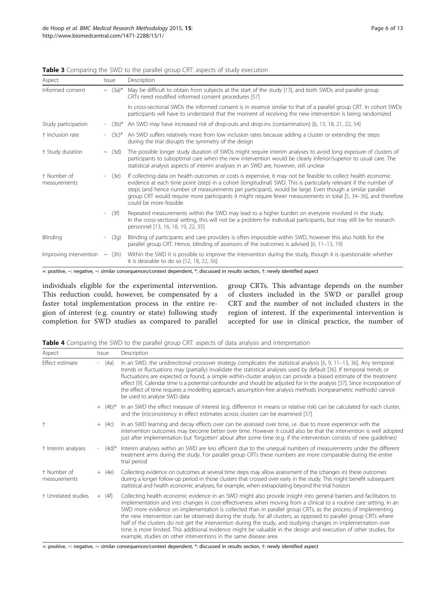| Aspect                      | <i>Issue</i>   | Description                                                                                                                                                                                                                                                                                                                                                                                                                                                                                   |
|-----------------------------|----------------|-----------------------------------------------------------------------------------------------------------------------------------------------------------------------------------------------------------------------------------------------------------------------------------------------------------------------------------------------------------------------------------------------------------------------------------------------------------------------------------------------|
| Informed consent            | $\sim$ (3a)*   | May be difficult to obtain from subjects at the start of the study [13], and both SWDs and parallel group<br>CRTs need modified informed consent procedures [57]                                                                                                                                                                                                                                                                                                                              |
|                             |                | In cross-sectional SWDs the informed consent is in essence similar to that of a parallel group CRT. In cohort SWDs<br>participants will have to understand that the moment of receiving the new intervention is being randomized                                                                                                                                                                                                                                                              |
| Study participation         |                | (3b)* An SWD may have increased risk of drop-outs and drop-ins (contamination) [6, 13, 18, 21, 22, 54]                                                                                                                                                                                                                                                                                                                                                                                        |
| <sup>+</sup> Inclusion rate | $(3c)^{*}$     | An SWD suffers relatively more from low inclusion rates because adding a cluster or extending the steps<br>during the trial disrupts the symmetry of the design                                                                                                                                                                                                                                                                                                                               |
| + Study duration            | (3d)<br>$\sim$ | The possible longer study duration of SWDs might require interim analyses to avoid long exposure of clusters of<br>participants to suboptimal care when the new intervention would be clearly inferior/superior to usual care. The<br>statistical analysis aspects of interim analyses in an SWD are, however, still unclear                                                                                                                                                                  |
| t Number of<br>measurements | (3e)           | If collecting data on health outcomes or costs is expensive, it may not be feasible to collect health economic<br>evidence at each time point (step) in a cohort (longitudinal) SWD. This is particularly relevant if the number of<br>steps (and hence number of measurements per participant), would be large. Even though a similar parallel<br>group CRT would require more participants it might require fewer measurements in total [5, 34-36], and therefore<br>could be more feasible |
|                             | (3f)           | Repeated measurements within the SWD may lead to a higher burden on everyone involved in the study.<br>In the cross-sectional setting, this will not be a problem for individual participants, but may still be for research<br>personnel [13, 16, 18, 19, 22, 35]                                                                                                                                                                                                                            |
| Blinding                    | (3q)           | Blinding of participants and care providers is often impossible within SWD, however this also holds for the<br>parallel group CRT. Hence, blinding of assessors of the outcomes is advised [6, 11–13, 19]                                                                                                                                                                                                                                                                                     |
| Improving intervention      | (3h)<br>$\sim$ | Within the SWD it is possible to improve the intervention during the study, though it is questionable whether<br>it is desirable to do so [12, 18, 22, 56]                                                                                                                                                                                                                                                                                                                                    |

<span id="page-5-0"></span>Table 3 Comparing the SWD to the parallel group CRT: aspects of study execution

+: positive, −: negative, ~: similar consequences/context dependent, \*: discussed in results section, †: newly identified aspect

individuals eligible for the experimental intervention. This reduction could, however, be compensated by a faster total implementation process in the entire region of interest (e.g. country or state) following study completion for SWD studies as compared to parallel group CRTs. This advantage depends on the number of clusters included in the SWD or parallel group CRT and the number of not included clusters in the region of interest. If the experimental intervention is accepted for use in clinical practice, the number of

Table 4 Comparing the SWD to the parallel group CRT: aspects of data analysis and interpretation

| Aspect                      | <i>Issue</i>          | Description                                                                                                                                                                                                                                                                                                                                                                                                                                                                                                                                                                                                                                                                                                                                                                              |
|-----------------------------|-----------------------|------------------------------------------------------------------------------------------------------------------------------------------------------------------------------------------------------------------------------------------------------------------------------------------------------------------------------------------------------------------------------------------------------------------------------------------------------------------------------------------------------------------------------------------------------------------------------------------------------------------------------------------------------------------------------------------------------------------------------------------------------------------------------------------|
| Effect estimate             | $- (4a)$              | In an SWD, the unidirectional crossover strategy complicates the statistical analysis [6, 9, 11-13, 36]. Any temporal<br>trends or fluctuations may (partially) invalidate the statistical analyses used by default [36]. If temporal trends or<br>fluctuations are expected or found, a simple within-cluster analysis can provide a biased estimate of the treatment<br>effect [9]. Calendar time is a potential confounder and should be adjusted for in the analysis [37]. Since incorporation of<br>the effect of time requires a modelling approach, assumption-free analysis methods (nonparametric methods) cannot<br>be used to analyse SWD data                                                                                                                                |
|                             | $+$ (4b) <sup>*</sup> | In an SWD the effect measure of interest (e.g. difference in means or relative risk) can be calculated for each cluster,<br>and the (in)consistency in effect estimates across clusters can be examined [37]                                                                                                                                                                                                                                                                                                                                                                                                                                                                                                                                                                             |
| $^{+}$                      | $+$ (4c)              | In an SWD learning and decay effects over can be assessed over time, i.e. due to more experience with the<br>intervention outcomes may become better over time. However it could also be that the intervention is well adopted<br>just after implementation but 'forgotten' about after some time (e.g. if the intervention consists of new quidelines)                                                                                                                                                                                                                                                                                                                                                                                                                                  |
| † Interim analyses          | $(4d)^*$              | Interim analyses within an SWD are less efficient due to the unequal numbers of measurements under the different<br>treatment arms during the study. For parallel group CRTs these numbers are more comparable during the entire<br>trial period                                                                                                                                                                                                                                                                                                                                                                                                                                                                                                                                         |
| t Number of<br>measurements | $+$ (4e)              | Collecting evidence on outcomes at several time steps may allow assessment of the (changes in) these outcomes<br>during a longer follow-up period in those clusters that crossed over early in the study. This might benefit subsequent<br>statistical and health economic analyses, for example, when extrapolating beyond the trial horizon                                                                                                                                                                                                                                                                                                                                                                                                                                            |
| † Unrelated studies         | $+$ (4f)              | Collecting health economic evidence in an SWD might also provide insight into general barriers and facilitators to<br>implementation and into changes in cost-effectiveness when moving from a clinical to a routine care setting. In an<br>SWD more evidence on implementation is collected than in parallel group CRTs, as the process of implementing<br>the new intervention can be observed during the study, for all clusters, as opposed to parallel group CRTs where<br>half of the clusters do not get the intervention during the study, and studying changes in implementation over<br>time is more limited. This additional evidence might be valuable in the design and execution of other studies, for<br>example, studies on other interventions in the same disease area |

+: positive, −: negative, ~: similar consequences/context dependent, \*: discussed in results section, †: newly identified aspect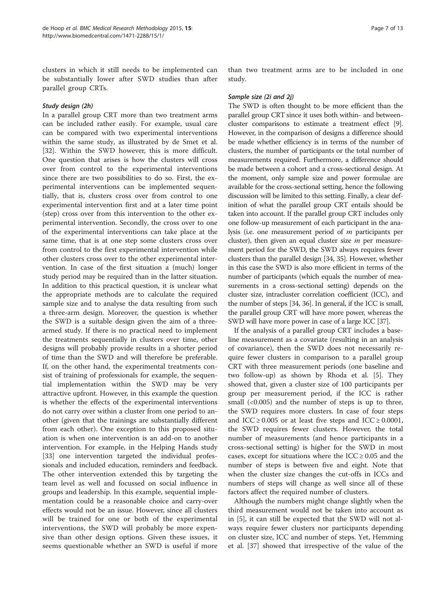clusters in which it still needs to be implemented can be substantially lower after SWD studies than after parallel group CRTs.

#### Study design (2h)

In a parallel group CRT more than two treatment arms can be included rather easily. For example, usual care can be compared with two experimental interventions within the same study, as illustrated by de Smet et al. [[32\]](#page-11-0). Within the SWD however, this is more difficult. One question that arises is how the clusters will cross over from control to the experimental interventions since there are two possibilities to do so. First, the experimental interventions can be implemented sequentially, that is, clusters cross over from control to one experimental intervention first and at a later time point (step) cross over from this intervention to the other experimental intervention. Secondly, the cross over to one of the experimental interventions can take place at the same time, that is at one step some clusters cross over from control to the first experimental intervention while other clusters cross over to the other experimental intervention. In case of the first situation a (much) longer study period may be required than in the latter situation. In addition to this practical question, it is unclear what the appropriate methods are to calculate the required sample size and to analyse the data resulting from such a three-arm design. Moreover, the question is whether the SWD is a suitable design given the aim of a threearmed study. If there is no practical need to implement the treatments sequentially in clusters over time, other designs will probably provide results in a shorter period of time than the SWD and will therefore be preferable. If, on the other hand, the experimental treatments consist of training of professionals for example, the sequential implementation within the SWD may be very attractive upfront. However, in this example the question is whether the effects of the experimental interventions do not carry over within a cluster from one period to another (given that the trainings are substantially different from each other). One exception to this proposed situation is when one intervention is an add-on to another intervention. For example, in the Helping Hands study [[33\]](#page-11-0) one intervention targeted the individual professionals and included education, reminders and feedback. The other intervention extended this by targeting the team level as well and focussed on social influence in groups and leadership. In this example, sequential implementation could be a reasonable choice and carry-over effects would not be an issue. However, since all clusters will be trained for one or both of the experimental interventions, the SWD will probably be more expensive than other design options. Given these issues, it seems questionable whether an SWD is useful if more

than two treatment arms are to be included in one study.

#### Sample size (2i and 2j)

The SWD is often thought to be more efficient than the parallel group CRT since it uses both within- and betweencluster comparisons to estimate a treatment effect [[9](#page-11-0)]. However, in the comparison of designs a difference should be made whether efficiency is in terms of the number of clusters, the number of participants or the total number of measurements required. Furthermore, a difference should be made between a cohort and a cross-sectional design. At the moment, only sample size and power formulae are available for the cross-sectional setting, hence the following discussion will be limited to this setting. Finally, a clear definition of what the parallel group CRT entails should be taken into account. If the parallel group CRT includes only one follow-up measurement of each participant in the analysis (i.e. one measurement period of m participants per cluster), then given an equal cluster size  $m$  per measurement period for the SWD, the SWD always requires fewer clusters than the parallel design [\[34,](#page-11-0) [35](#page-12-0)]. However, whether in this case the SWD is also more efficient in terms of the number of participants (which equals the number of measurements in a cross-sectional setting) depends on the cluster size, intracluster correlation coefficient (ICC), and the number of steps [\[34,](#page-11-0) [36](#page-12-0)]. In general, if the ICC is small, the parallel group CRT will have more power, whereas the SWD will have more power in case of a large ICC [[37](#page-12-0)].

If the analysis of a parallel group CRT includes a baseline measurement as a covariate (resulting in an analysis of covariance), then the SWD does not necessarily require fewer clusters in comparison to a parallel group CRT with three measurement periods (one baseline and two follow-up) as shown by Rhoda et al. [[5\]](#page-11-0). They showed that, given a cluster size of 100 participants per group per measurement period, if the ICC is rather small (<0.005) and the number of steps is up to three, the SWD requires more clusters. In case of four steps and ICC  $\geq$  0.005 or at least five steps and ICC  $\geq$  0.0001, the SWD requires fewer clusters. However, the total number of measurements (and hence participants in a cross-sectional setting) is higher for the SWD in most cases, except for situations where the  $\text{ICC} \geq 0.05$  and the number of steps is between five and eight. Note that when the cluster size changes the cut-offs in ICCs and numbers of steps will change as well since all of these factors affect the required number of clusters.

Although the numbers might change slightly when the third measurement would not be taken into account as in [\[5](#page-11-0)], it can still be expected that the SWD will not always require fewer clusters nor participants depending on cluster size, ICC and number of steps. Yet, Hemming et al. [\[37](#page-12-0)] showed that irrespective of the value of the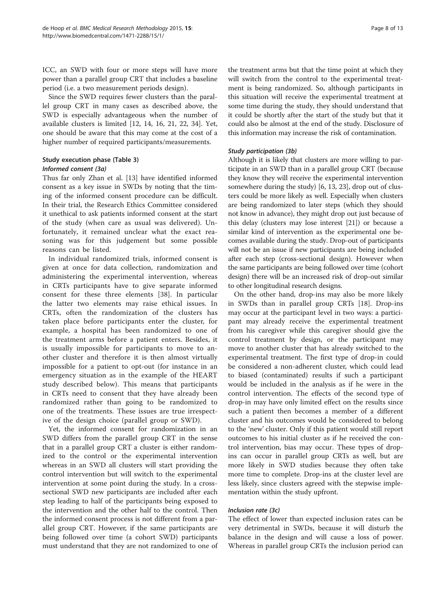ICC, an SWD with four or more steps will have more power than a parallel group CRT that includes a baseline period (i.e. a two measurement periods design).

Since the SWD requires fewer clusters than the parallel group CRT in many cases as described above, the SWD is especially advantageous when the number of available clusters is limited [\[12](#page-11-0), [14, 16, 21, 22, 34](#page-11-0)]. Yet, one should be aware that this may come at the cost of a higher number of required participants/measurements.

## Study execution phase (Table [3\)](#page-5-0) Informed consent (3a)

Thus far only Zhan et al. [\[13](#page-11-0)] have identified informed consent as a key issue in SWDs by noting that the timing of the informed consent procedure can be difficult. In their trial, the Research Ethics Committee considered it unethical to ask patients informed consent at the start of the study (when care as usual was delivered). Unfortunately, it remained unclear what the exact reasoning was for this judgement but some possible reasons can be listed.

In individual randomized trials, informed consent is given at once for data collection, randomization and administering the experimental intervention, whereas in CRTs participants have to give separate informed consent for these three elements [[38](#page-12-0)]. In particular the latter two elements may raise ethical issues. In CRTs, often the randomization of the clusters has taken place before participants enter the cluster, for example, a hospital has been randomized to one of the treatment arms before a patient enters. Besides, it is usually impossible for participants to move to another cluster and therefore it is then almost virtually impossible for a patient to opt-out (for instance in an emergency situation as in the example of the HEART study described below). This means that participants in CRTs need to consent that they have already been randomized rather than going to be randomized to one of the treatments. These issues are true irrespective of the design choice (parallel group or SWD).

Yet, the informed consent for randomization in an SWD differs from the parallel group CRT in the sense that in a parallel group CRT a cluster is either randomized to the control or the experimental intervention whereas in an SWD all clusters will start providing the control intervention but will switch to the experimental intervention at some point during the study. In a crosssectional SWD new participants are included after each step leading to half of the participants being exposed to the intervention and the other half to the control. Then the informed consent process is not different from a parallel group CRT. However, if the same participants are being followed over time (a cohort SWD) participants must understand that they are not randomized to one of

the treatment arms but that the time point at which they will switch from the control to the experimental treatment is being randomized. So, although participants in this situation will receive the experimental treatment at some time during the study, they should understand that it could be shortly after the start of the study but that it could also be almost at the end of the study. Disclosure of this information may increase the risk of contamination.

## Study participation (3b)

Although it is likely that clusters are more willing to participate in an SWD than in a parallel group CRT (because they know they will receive the experimental intervention somewhere during the study) [\[6](#page-11-0), [13, 23](#page-11-0)], drop out of clusters could be more likely as well. Especially when clusters are being randomized to later steps (which they should not know in advance), they might drop out just because of this delay (clusters may lose interest [\[21\]](#page-11-0)) or because a similar kind of intervention as the experimental one becomes available during the study. Drop-out of participants will not be an issue if new participants are being included after each step (cross-sectional design). However when the same participants are being followed over time (cohort design) there will be an increased risk of drop-out similar to other longitudinal research designs.

On the other hand, drop-ins may also be more likely in SWDs than in parallel group CRTs [[18](#page-11-0)]. Drop-ins may occur at the participant level in two ways: a participant may already receive the experimental treatment from his caregiver while this caregiver should give the control treatment by design, or the participant may move to another cluster that has already switched to the experimental treatment. The first type of drop-in could be considered a non-adherent cluster, which could lead to biased (contaminated) results if such a participant would be included in the analysis as if he were in the control intervention. The effects of the second type of drop-in may have only limited effect on the results since such a patient then becomes a member of a different cluster and his outcomes would be considered to belong to the 'new' cluster. Only if this patient would still report outcomes to his initial cluster as if he received the control intervention, bias may occur. These types of dropins can occur in parallel group CRTs as well, but are more likely in SWD studies because they often take more time to complete. Drop-ins at the cluster level are less likely, since clusters agreed with the stepwise implementation within the study upfront.

#### Inclusion rate (3c)

The effect of lower than expected inclusion rates can be very detrimental in SWDs, because it will disturb the balance in the design and will cause a loss of power. Whereas in parallel group CRTs the inclusion period can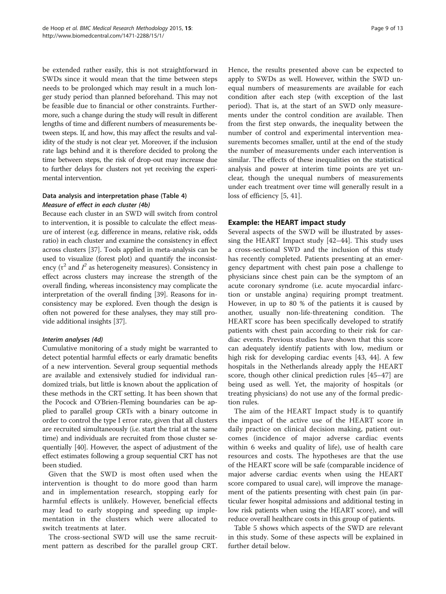be extended rather easily, this is not straightforward in SWDs since it would mean that the time between steps needs to be prolonged which may result in a much longer study period than planned beforehand. This may not be feasible due to financial or other constraints. Furthermore, such a change during the study will result in different lengths of time and different numbers of measurements between steps. If, and how, this may affect the results and validity of the study is not clear yet. Moreover, if the inclusion rate lags behind and it is therefore decided to prolong the time between steps, the risk of drop-out may increase due to further delays for clusters not yet receiving the experimental intervention.

## Data analysis and interpretation phase (Table [4\)](#page-5-0) Measure of effect in each cluster (4b)

Because each cluster in an SWD will switch from control to intervention, it is possible to calculate the effect measure of interest (e.g. difference in means, relative risk, odds ratio) in each cluster and examine the consistency in effect across clusters [[37\]](#page-12-0). Tools applied in meta-analysis can be used to visualize (forest plot) and quantify the inconsistency  $(\tau^2$  and  $I^2$  as heterogeneity measures). Consistency in<br>effect, across, clusters, may increase, the strength of the effect across clusters may increase the strength of the overall finding, whereas inconsistency may complicate the interpretation of the overall finding [\[39\]](#page-12-0). Reasons for inconsistency may be explored. Even though the design is often not powered for these analyses, they may still provide additional insights [\[37](#page-12-0)].

## Interim analyses (4d)

Cumulative monitoring of a study might be warranted to detect potential harmful effects or early dramatic benefits of a new intervention. Several group sequential methods are available and extensively studied for individual randomized trials, but little is known about the application of these methods in the CRT setting. It has been shown that the Pocock and O'Brien-Fleming boundaries can be applied to parallel group CRTs with a binary outcome in order to control the type I error rate, given that all clusters are recruited simultaneously (i.e. start the trial at the same time) and individuals are recruited from those cluster sequentially [[40](#page-12-0)]. However, the aspect of adjustment of the effect estimates following a group sequential CRT has not been studied.

Given that the SWD is most often used when the intervention is thought to do more good than harm and in implementation research, stopping early for harmful effects is unlikely. However, beneficial effects may lead to early stopping and speeding up implementation in the clusters which were allocated to switch treatments at later.

The cross-sectional SWD will use the same recruitment pattern as described for the parallel group CRT. Hence, the results presented above can be expected to apply to SWDs as well. However, within the SWD unequal numbers of measurements are available for each condition after each step (with exception of the last period). That is, at the start of an SWD only measurements under the control condition are available. Then from the first step onwards, the inequality between the number of control and experimental intervention measurements becomes smaller, until at the end of the study the number of measurements under each intervention is similar. The effects of these inequalities on the statistical analysis and power at interim time points are yet unclear, though the unequal numbers of measurements under each treatment over time will generally result in a loss of efficiency [\[5](#page-11-0), [41\]](#page-12-0).

## Example: the HEART impact study

Several aspects of the SWD will be illustrated by assessing the HEART Impact study [\[42](#page-12-0)–[44\]](#page-12-0). This study uses a cross-sectional SWD and the inclusion of this study has recently completed. Patients presenting at an emergency department with chest pain pose a challenge to physicians since chest pain can be the symptom of an acute coronary syndrome (i.e. acute myocardial infarction or unstable angina) requiring prompt treatment. However, in up to 80 % of the patients it is caused by another, usually non-life-threatening condition. The HEART score has been specifically developed to stratify patients with chest pain according to their risk for cardiac events. Previous studies have shown that this score can adequately identify patients with low, medium or high risk for developing cardiac events [\[43](#page-12-0), [44\]](#page-12-0). A few hospitals in the Netherlands already apply the HEART score, though other clinical prediction rules [[45](#page-12-0)–[47](#page-12-0)] are being used as well. Yet, the majority of hospitals (or treating physicians) do not use any of the formal prediction rules.

The aim of the HEART Impact study is to quantify the impact of the active use of the HEART score in daily practice on clinical decision making, patient outcomes (incidence of major adverse cardiac events within 6 weeks and quality of life), use of health care resources and costs. The hypotheses are that the use of the HEART score will be safe (comparable incidence of major adverse cardiac events when using the HEART score compared to usual care), will improve the management of the patients presenting with chest pain (in particular fewer hospital admissions and additional testing in low risk patients when using the HEART score), and will reduce overall healthcare costs in this group of patients.

Table [5](#page-9-0) shows which aspects of the SWD are relevant in this study. Some of these aspects will be explained in further detail below.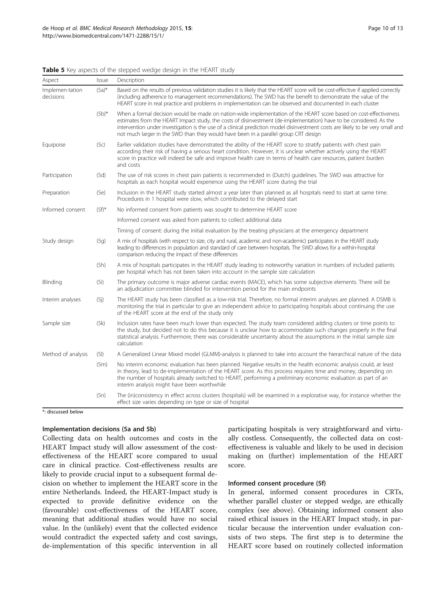| Aspect                       | <b>Issue</b> | Description                                                                                                                                                                                                                                                                                                                                                                                                                                                       |
|------------------------------|--------------|-------------------------------------------------------------------------------------------------------------------------------------------------------------------------------------------------------------------------------------------------------------------------------------------------------------------------------------------------------------------------------------------------------------------------------------------------------------------|
| Implemen-tation<br>decisions | $(5a)^*$     | Based on the results of previous validation studies it is likely that the HEART score will be cost-effective if applied correctly<br>(including adherence to management recommendations). The SWD has the benefit to demonstrate the value of the<br>HEART score in real practice and problems in implementation can be observed and documented in each cluster                                                                                                   |
|                              | $(5b)^*$     | When a formal decision would be made on nation-wide implementation of the HEART score based on cost-effectiveness<br>estimates from the HEART Impact study, the costs of disinvestment (de-implementation) have to be considered. As the<br>intervention under investigation is the use of a clinical prediction model disinvestment costs are likely to be very small and<br>not much larger in the SWD than they would have been in a parallel group CRT design |
| Equipoise                    | (5c)         | Earlier validation studies have demonstrated the ability of the HEART score to stratify patients with chest pain<br>according their risk of having a serious heart condition. However, it is unclear whether actively using the HEART<br>score in practice will indeed be safe and improve health care in terms of health care resources, patient burden<br>and costs                                                                                             |
| Participation                | (5d)         | The use of risk scores in chest pain patients is recommended in (Dutch) guidelines. The SWD was attractive for<br>hospitals as each hospital would experience using the HEART score during the trial                                                                                                                                                                                                                                                              |
| Preparation                  | (5e)         | Inclusion in the HEART study started almost a year later than planned as all hospitals need to start at same time.<br>Procedures in 1 hospital were slow, which contributed to the delayed start                                                                                                                                                                                                                                                                  |
| Informed consent             | $(5f)^*$     | No informed consent from patients was sought to determine HEART score                                                                                                                                                                                                                                                                                                                                                                                             |
|                              |              | Informed consent was asked from patients to collect additional data                                                                                                                                                                                                                                                                                                                                                                                               |
|                              |              | Timing of consent: during the initial evaluation by the treating physicians at the emergency department                                                                                                                                                                                                                                                                                                                                                           |
| Study design                 | (5g)         | A mix of hospitals (with respect to size, city and rural, academic and non-academic) participates in the HEART study<br>leading to differences in population and standard of care between hospitals. The SWD allows for a within-hospital<br>comparison reducing the impact of these differences                                                                                                                                                                  |
|                              | (5h)         | A mix of hospitals participates in the HEART study leading to noteworthy variation in numbers of included patients<br>per hospital which has not been taken into account in the sample size calculation                                                                                                                                                                                                                                                           |
| Blinding                     | (5i)         | The primary outcome is major adverse cardiac events (MACE), which has some subjective elements. There will be<br>an adjudication committee blinded for intervention period for the main endpoints                                                                                                                                                                                                                                                                 |
| Interim analyses             | (5j)         | The HEART study has been classified as a low-risk trial. Therefore, no formal interim analyses are planned. A DSMB is<br>monitoring the trial in particular to give an independent advice to participating hospitals about continuing the use<br>of the HEART score at the end of the study only                                                                                                                                                                  |
| Sample size                  | (5k)         | Inclusion rates have been much lower than expected. The study team considered adding clusters or time points to<br>the study, but decided not to do this because it is unclear how to accommodate such changes properly in the final<br>statistical analysis. Furthermore, there was considerable uncertainty about the assumptions in the initial sample size<br>calculation                                                                                     |
| Method of analysis           | (5)          | A Generalized Linear Mixed model (GLMM)-analysis is planned to take into account the hierarchical nature of the data                                                                                                                                                                                                                                                                                                                                              |
|                              | (5m)         | No interim economic evaluation has been planned. Negative results in the health economic analysis could, at least<br>in theory, lead to de-implementation of the HEART score. As this process requires time and money, depending on<br>the number of hospitals already switched to HEART, performing a preliminary economic evaluation as part of an<br>interim analysis might have been worthwhile                                                               |
|                              | (5n)         | The (in)consistency in effect across clusters (hospitals) will be examined in a explorative way, for instance whether the<br>effect size varies depending on type or size of hospital                                                                                                                                                                                                                                                                             |

<span id="page-9-0"></span>Table 5 Key aspects of the stepped wedge design in the HEART study

\*: discussed below

#### Implementation decisions (5a and 5b)

Collecting data on health outcomes and costs in the HEART Impact study will allow assessment of the costeffectiveness of the HEART score compared to usual care in clinical practice. Cost-effectiveness results are likely to provide crucial input to a subsequent formal decision on whether to implement the HEART score in the entire Netherlands. Indeed, the HEART-Impact study is expected to provide definitive evidence on the (favourable) cost-effectiveness of the HEART score, meaning that additional studies would have no social value. In the (unlikely) event that the collected evidence would contradict the expected safety and cost savings, de-implementation of this specific intervention in all

participating hospitals is very straightforward and virtually costless. Consequently, the collected data on costeffectiveness is valuable and likely to be used in decision making on (further) implementation of the HEART score.

#### Informed consent procedure (5f)

In general, informed consent procedures in CRTs, whether parallel cluster or stepped wedge, are ethically complex (see above). Obtaining informed consent also raised ethical issues in the HEART Impact study, in particular because the intervention under evaluation consists of two steps. The first step is to determine the HEART score based on routinely collected information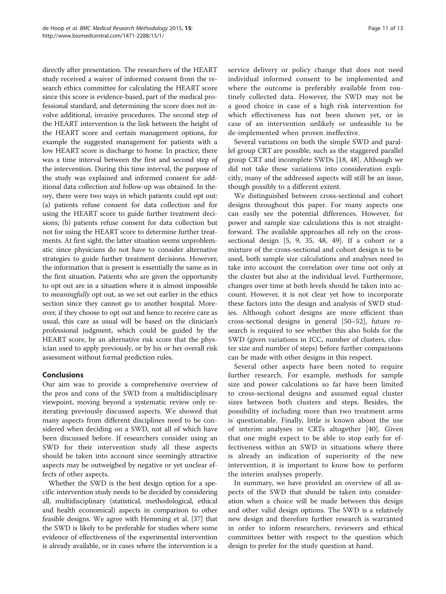directly after presentation. The researchers of the HEART study received a waiver of informed consent from the research ethics committee for calculating the HEART score since this score is evidence-based, part of the medical professional standard, and determining the score does not involve additional, invasive procedures. The second step of the HEART intervention is the link between the height of the HEART score and certain management options, for example the suggested management for patients with a low HEART score is discharge to home. In practice, there was a time interval between the first and second step of the intervention. During this time interval, the purpose of the study was explained and informed consent for additional data collection and follow-up was obtained. In theory, there were two ways in which patients could opt out: (a) patients refuse consent for data collection and for using the HEART score to guide further treatment decisions; (b) patients refuse consent for data collection but not for using the HEART score to determine further treatments. At first sight, the latter situation seems unproblematic since physicians do not have to consider alternative strategies to guide further treatment decisions. However, the information that is present is essentially the same as in the first situation. Patients who are given the opportunity to opt out are in a situation where it is almost impossible to meaningfully opt out, as we set out earlier in the ethics section since they cannot go to another hospital. Moreover, if they choose to opt out and hence to receive care as usual, this care as usual will be based on the clinician's professional judgment, which could be guided by the HEART score, by an alternative risk score that the physician used to apply previously, or by his or her overall risk assessment without formal prediction rules.

## Conclusions

Our aim was to provide a comprehensive overview of the pros and cons of the SWD from a multidisciplinary viewpoint, moving beyond a systematic review only reiterating previously discussed aspects. We showed that many aspects from different disciplines need to be considered when deciding on a SWD, not all of which have been discussed before. If researchers consider using an SWD for their intervention study all these aspects should be taken into account since seemingly attractive aspects may be outweighed by negative or yet unclear effects of other aspects.

Whether the SWD is the best design option for a specific intervention study needs to be decided by considering all, multidisciplinary (statistical, methodological, ethical and health economical) aspects in comparison to other feasible designs. We agree with Hemming et al. [\[37](#page-12-0)] that the SWD is likely to be preferable for studies where some evidence of effectiveness of the experimental intervention is already available, or in cases where the intervention is a

service delivery or policy change that does not need individual informed consent to be implemented and where the outcome is preferably available from routinely collected data. However, the SWD may not be a good choice in case of a high risk intervention for which effectiveness has not been shown yet, or in case of an intervention unlikely or unfeasible to be de-implemented when proven ineffective.

Several variations on both the simple SWD and parallel group CRT are possible, such as the staggered parallel group CRT and incomplete SWDs [\[18](#page-11-0), [48](#page-12-0)]. Although we did not take these variations into consideration explicitly, many of the addressed aspects will still be an issue, though possibly to a different extent.

We distinguished between cross-sectional and cohort designs throughout this paper. For many aspects one can easily see the potential differences. However, for power and sample size calculations this is not straightforward. The available approaches all rely on the crosssectional design [[5, 9,](#page-11-0) [35](#page-12-0), [48](#page-12-0), [49](#page-12-0)]. If a cohort or a mixture of the cross-sectional and cohort design is to be used, both sample size calculations and analyses need to take into account the correlation over time not only at the cluster but also at the individual level. Furthermore, changes over time at both levels should be taken into account. However, it is not clear yet how to incorporate these factors into the design and analysis of SWD studies. Although cohort designs are more efficient than cross-sectional designs in general [\[50](#page-12-0)–[52\]](#page-12-0), future research is required to see whether this also holds for the SWD (given variations in ICC, number of clusters, cluster size and number of steps) before further comparisons can be made with other designs in this respect.

Several other aspects have been noted to require further research. For example, methods for sample size and power calculations so far have been limited to cross-sectional designs and assumed equal cluster sizes between both clusters and steps. Besides, the possibility of including more than two treatment arms is questionable. Finally, little is known about the use of interim analyses in CRTs altogether [[40\]](#page-12-0). Given that one might expect to be able to stop early for effectiveness within an SWD in situations where there is already an indication of superiority of the new intervention, it is important to know how to perform the interim analyses properly.

In summary, we have provided an overview of all aspects of the SWD that should be taken into consideration when a choice will be made between this design and other valid design options. The SWD is a relatively new design and therefore further research is warranted in order to inform researchers, reviewers and ethical committees better with respect to the question which design to prefer for the study question at hand.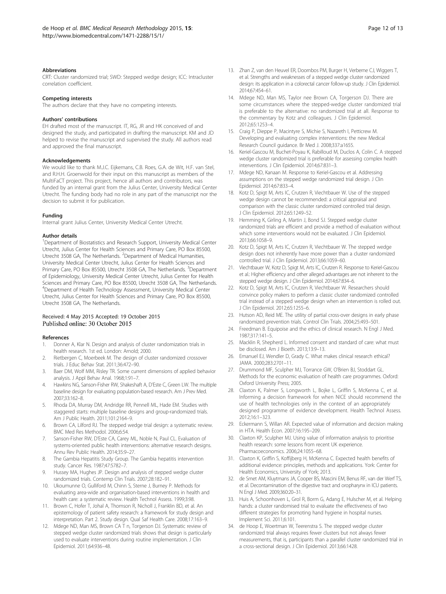#### <span id="page-11-0"></span>Abbreviations

CRT: Cluster randomized trial; SWD: Stepped wedge design; ICC: Intracluster correlation coefficient.

#### Competing interests

The authors declare that they have no competing interests.

#### Authors' contributions

EH drafted most of the manuscript. IT, RG, JR and HK conceived of and designed the study, and participated in drafting the manuscript. KM and JD helped to revise the manuscript and supervised the study. All authors read and approved the final manuscript.

#### Acknowledgements

We would like to thank M.J.C. Eijkemans, C.B. Roes, G.A. de Wit, H.F. van Stel, and R.H.H. Groenwold for their input on this manuscript as members of the MultiFaCT project. This project, hence all authors and contributors, was funded by an internal grant from the Julius Center, University Medical Center Utrecht. The funding body had no role in any part of the manuscript nor the decision to submit it for publication.

#### Funding

Internal grant Julius Center, University Medical Center Utrecht.

#### Author details

<sup>1</sup>Department of Biostatistics and Research Support, University Medical Center Utrecht, Julius Center for Health Sciences and Primary Care, PO Box 85500, Utrecht 3508 GA, The Netherlands. <sup>2</sup>Department of Medical Humanities, University Medical Center Utrecht, Julius Center for Health Sciences and Primary Care, PO Box 85500, Utrecht 3508 GA, The Netherlands. <sup>3</sup>Department of Epidemiology, University Medical Center Utrecht, Julius Center for Health Sciences and Primary Care, PO Box 85500, Utrecht 3508 GA, The Netherlands. 4 Department of Health Technology Assessment, University Medical Center Utrecht, Julius Center for Health Sciences and Primary Care, PO Box 85500, Utrecht 3508 GA, The Netherlands.

#### Received: 4 May 2015 Accepted: 19 October 2015 Published online: 30 October 2015

#### References

- Donner A, Klar N. Design and analysis of cluster randomization trials in health research. 1st ed. London: Arnold; 2000.
- 2. Rietbergen C, Moerbeek M. The design of cluster randomized crossover trials. J Educ Behav Stat. 2011;36:472–90.
- 3. Baer DM, Wolf MM, Risley TR. Some current dimensions of applied behavior analysis. J Appl Behav Anal. 1968;1:91–7.
- 4. Hawkins NG, Sanson-Fisher RW, Shakeshaft A, D'Este C, Green LW. The multiple baseline design for evaluating population-based research. Am J Prev Med. 2007;33:162–8.
- 5. Rhoda DA, Murray DM, Andridge RR, Pennell ML, Hade EM. Studies with staggered starts: multiple baseline designs and group-randomized trials. Am J Public Health. 2011;101:2164–9.
- 6. Brown CA, Lilford RJ. The stepped wedge trial design: a systematic review. BMC Med Res Methodol. 2006;6:54.
- 7. Sanson-Fisher RW, D'Este CA, Carey ML, Noble N, Paul CL. Evaluation of systems-oriented public health interventions: alternative research designs. Annu Rev Public Health. 2014;35:9–27.
- 8. The Gambia Hepatitis Study Group. The Gambia hepatitis intervention study. Cancer Res. 1987;47:5782–7.
- 9. Hussey MA, Hughes JP. Design and analysis of stepped wedge cluster randomized trials. Contemp Clin Trials. 2007;28:182–91.
- 10. Ukoumunne O, Gulliford M, Chinn S, Sterne J, Burney P. Methods for evaluating area-wide and organisation-based interventions in health and health care: a systematic review. Health Technol Assess. 1999;3:98.
- 11. Brown C, Hofer T, Johal A, Thomson R, Nicholl J, Franklin BD, et al. An epistemology of patient safety research: a framework for study design and interpretation. Part 2. Study design. Qual Saf Health Care. 2008;17:163–9.
- 12. Mdege ND, Man MS, Brown CA T n, Torgerson DJ. Systematic review of stepped wedge cluster randomized trials shows that design is particularly used to evaluate interventions during routine implementation. J Clin Epidemiol. 2011;64:936–48.
- 13. Zhan Z, van den Heuvel ER, Doornbos PM, Burger H, Verberne CJ, Wiggers T, et al. Strengths and weaknesses of a stepped wedge cluster randomized design: its application in a colorectal cancer follow-up study. J Clin Epidemiol. 2014;67:454–61.
- 14. Mdege ND, Man MS, Taylor nee Brown CA, Torgerson DJ. There are some circumstances where the stepped-wedge cluster randomized trial is preferable to the alternative: no randomized trial at all. Response to the commentary by Kotz and colleagues. J Clin Epidemiol. 2012;65:1253–4.
- 15. Craig P, Dieppe P, Macintyre S, Michie S, Nazareth I, Petticrew M. Developing and evaluating complex interventions: the new Medical Research Council guidance. Br Med J. 2008;337:a1655.
- 16. Keriel-Gascou M, Buchet-Poyau K, Rabilloud M, Duclos A, Colin C. A stepped wedge cluster randomized trial is preferable for assessing complex health interventions. J Clin Epidemiol. 2014;67:831–3.
- 17. Mdege ND, Kanaan M. Response to Keriel-Gascou et al. Addressing assumptions on the stepped wedge randomized trial design. J Clin Epidemiol. 2014;67:833–4.
- 18. Kotz D, Spigt M, Arts IC, Crutzen R, Viechtbauer W. Use of the stepped wedge design cannot be recommended: a critical appraisal and comparison with the classic cluster randomized controlled trial design. J Clin Epidemiol. 2012;65:1249–52.
- 19. Hemming K, Girling A, Martin J, Bond SJ. Stepped wedge cluster randomized trials are efficient and provide a method of evaluation without which some interventions would not be evaluated. J Clin Epidemiol. 2013;66:1058–9.
- 20. Kotz D, Spigt M, Arts IC, Crutzen R, Viechtbauer W. The stepped wedge design does not inherently have more power than a cluster randomized controlled trial. J Clin Epidemiol. 2013;66:1059–60.
- 21. Viechtbauer W, Kotz D, Spigt M, Arts IC, Crutzen R. Response to Keriel-Gascou et al.: Higher efficiency and other alleged advantages are not inherent to the stepped wedge design. J Clin Epidemiol. 2014;67:834–6.
- 22. Kotz D, Spigt M, Arts IC, Crutzen R, Viechtbauer W. Researchers should convince policy makers to perform a classic cluster randomized controlled trial instead of a stepped wedge design when an intervention is rolled out. J Clin Epidemiol. 2012;65:1255–6.
- 23. Hutson AD, Reid ME. The utility of partial cross-over designs in early phase randomized prevention trials. Control Clin Trials. 2004;25:493–501.
- 24. Freedman B. Equipoise and the ethics of clinical research. N Engl J Med. 1987;317:141–5.
- 25. Macklin R, Shepherd L. Informed consent and standard of care: what must be disclosed. Am J Bioeth. 2013;13:9–13.
- 26. Emanuel EJ, Wendler D, Grady C. What makes clinical research ethical? JAMA. 2000;283:2701–11.
- 27. Drummond MF, Sculpher MJ, Torrance GW, O'Brien BJ, Stoddart GL. Methods for the economic evaluation of health care programmes. Oxford: Oxford University Press; 2005.
- 28. Claxton K, Palmer S, Longworth L, Bojke L, Griffin S, McKenna C, et al. Informing a decision framework for when NICE should recommend the use of health technologies only in the context of an appropriately designed programme of evidence development. Health Technol Assess. 2012;16:1–323.
- 29. Eckermann S, Willan AR. Expected value of information and decision making in HTA. Health Econ. 2007;16:195–209.
- 30. Claxton KP, Sculpher MJ. Using value of information analysis to prioritise health research: some lessons from recent UK experience. Pharmacoeconomics. 2006;24:1055–68.
- 31. Claxton K, Griffin S, Koffijberg H, McKenna C. Expected health benefits of additional evidence: principles, methods and applications. York: Center for Health Economics, University of York; 2013.
- 32. de Smet AM, Kluytmans JA, Cooper BS, Mascini EM, Benus RF, van der Werf TS, et al. Decontamination of the digestive tract and oropharynx in ICU patients. N Engl J Med. 2009;360:20–31.
- 33. Huis A, Schoonhoven L, Grol R, Borm G, Adang E, Hulscher M, et al. Helping hands: a cluster randomised trial to evaluate the effectiveness of two different strategies for promoting hand hygiene in hospital nurses. Implement Sci. 2011;6:101.
- 34. de Hoop E, Woertman W, Teerenstra S. The stepped wedge cluster randomized trial always requires fewer clusters but not always fewer measurements, that is, participants than a parallel cluster randomized trial in a cross-sectional design. J Clin Epidemiol. 2013;66:1428.